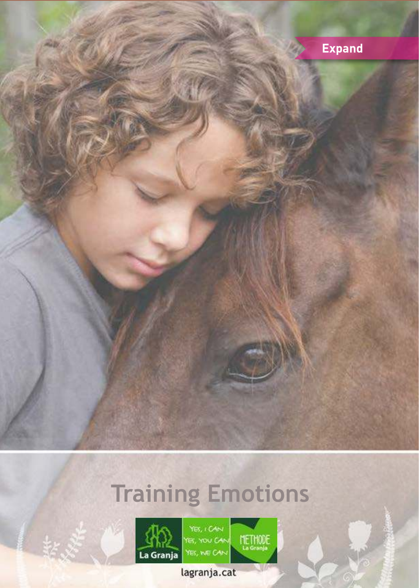

# **Training Emotions**



YES, I CAN<br>YES, YOU CAN YES, WE CAN

METHODE

lagranja.cat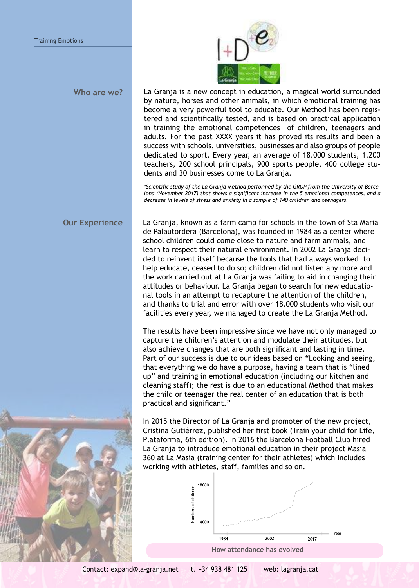

La Granja is a new concept in education, a magical world surrounded by nature, horses and other animals, in which emotional training has become a very powerful tool to educate. Our Method has been registered and scientifically tested, and is based on practical application in training the emotional competences of children, teenagers and adults. For the past XXXX years it has proved its results and been a success with schools, universities, businesses and also groups of people dedicated to sport. Every year, an average of 18.000 students, 1.200 teachers, 200 school principals, 900 sports people, 400 college students and 30 businesses come to La Granja. **Who are we?**

> *\*Scientific study of the La Granja Method performed by the GROP from the University of Barcelona (November 2017) that shows a significant increase in the 5 emotional competences, and a decrease in levels of stress and anxiety in a sample of 140 children and teenagers.*

**Our Experience** La Granja, known as a farm camp for schools in the town of Sta Maria de Palautordera (Barcelona), was founded in 1984 as a center where school children could come close to nature and farm animals, and learn to respect their natural environment. In 2002 La Granja decided to reinvent itself because the tools that had always worked to help educate, ceased to do so; children did not listen any more and the work carried out at La Granja was failing to aid in changing their attitudes or behaviour. La Granja began to search for new educational tools in an attempt to recapture the attention of the children, and thanks to trial and error with over 18.000 students who visit our facilities every year, we managed to create the La Granja Method.

> The results have been impressive since we have not only managed to capture the children's attention and modulate their attitudes, but also achieve changes that are both significant and lasting in time. Part of our success is due to our ideas based on "Looking and seeing, that everything we do have a purpose, having a team that is "lined up" and training in emotional education (including our kitchen and cleaning staff); the rest is due to an educational Method that makes the child or teenager the real center of an education that is both practical and significant."

In 2015 the Director of La Granja and promoter of the new project, Cristina Gutiérrez, published her first book (Train your child for Life, Plataforma, 6th edition). In 2016 the Barcelona Football Club hired La Granja to introduce emotional education in their project Masia 360 at La Masia (training center for their athletes) which includes working with athletes, staff, families and so on.



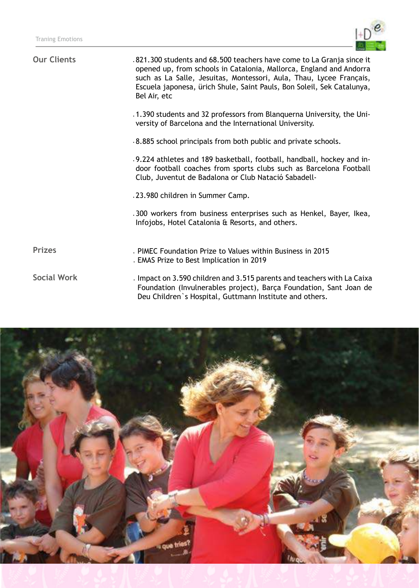

| <b>Our Clients</b> | .821.300 students and 68.500 teachers have come to La Granja since it<br>opened up, from schools in Catalonia, Mallorca, England and Andorra<br>such as La Salle, Jesuitas, Montessori, Aula, Thau, Lycee Français,<br>Escuela japonesa, ürich Shule, Saint Pauls, Bon Soleil, Sek Catalunya,<br>Bel Air, etc |
|--------------------|---------------------------------------------------------------------------------------------------------------------------------------------------------------------------------------------------------------------------------------------------------------------------------------------------------------|
|                    | .1.390 students and 32 professors from Blanquerna University, the Uni-<br>versity of Barcelona and the International University.                                                                                                                                                                              |
|                    | .8.885 school principals from both public and private schools.                                                                                                                                                                                                                                                |
|                    | .9.224 athletes and 189 basketball, football, handball, hockey and in-<br>door football coaches from sports clubs such as Barcelona Football<br>Club, Juventut de Badalona or Club Natació Sabadell-                                                                                                          |
|                    | .23.980 children in Summer Camp.                                                                                                                                                                                                                                                                              |
|                    | .300 workers from business enterprises such as Henkel, Bayer, Ikea,<br>Infojobs, Hotel Catalonia & Resorts, and others.                                                                                                                                                                                       |
| <b>Prizes</b>      | . PIMEC Foundation Prize to Values within Business in 2015<br>. EMAS Prize to Best Implication in 2019                                                                                                                                                                                                        |
| <b>Social Work</b> | . Impact on 3.590 children and 3.515 parents and teachers with La Caixa<br>Foundation (Invulnerables project), Barça Foundation, Sant Joan de<br>Deu Children's Hospital, Guttmann Institute and others.                                                                                                      |
|                    |                                                                                                                                                                                                                                                                                                               |

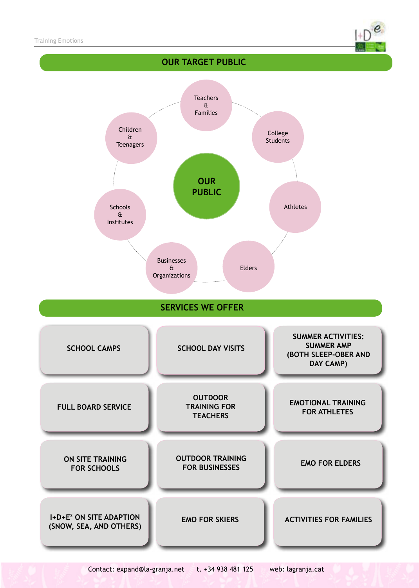

# **SERVICES WE OFFER OUR PUBLIC** Businesses & **Organizations** Children & **Teenagers Teachers** & Families Athletes College Students Elders **Schools** & Institutes **SCHOOL CAMPS SCHOOL DAY VISITS SUMMER ACTIVITIES: SUMMER AMP (BOTH SLEEP-OBER AND DAY CAMP) EMO FOR ELDERS FULL BOARD SERVICE ON SITE TRAINING FOR SCHOOLS OUTDOOR TRAINING FOR TEACHERS EMOTIONAL TRAINING FOR ATHLETES OUTDOOR TRAINING FOR BUSINESSES ACTIVITIES FOR FAMILIES I+D+E<sup>2</sup> ON SITE ADAPTION (SNOW, SEA, AND OTHERS) EMO FOR SKIERS OUR TARGET PUBLIC**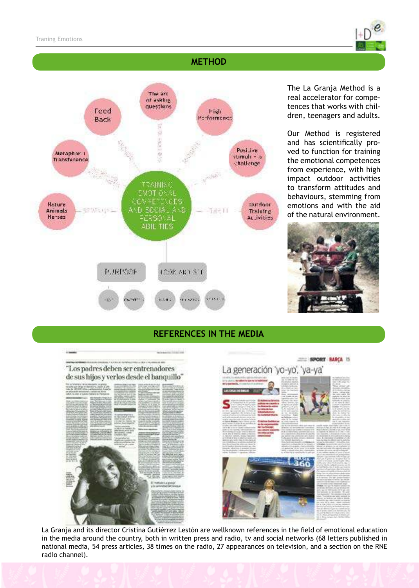

### **METHOD**



The La Granja Method is a real accelerator for competences that works with children, teenagers and adults.

Our Method is registered and has scientifically proved to function for training the emotional competences from experience, with high impact outdoor activities to transform attitudes and behaviours, stemming from emotions and with the aid of the natural environment.



#### **REFERENCES IN THE MEDIA**





La Granja and its director Cristina Gutiérrez Lestón are wellknown references in the field of emotional education in the media around the country, both in written press and radio, tv and social networks (68 letters published in national media, 54 press articles, 38 times on the radio, 27 appearances on television, and a section on the RNE radio channel).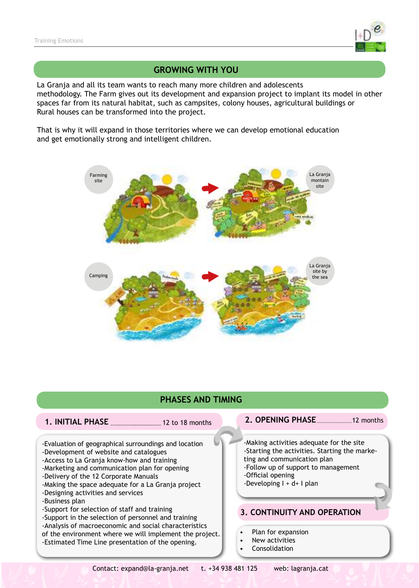

#### **GROWING WITH YOU**

La Granja and all its team wants to reach many more children and adolescents methodology. The Farm gives out its development and expansion project to implant its model in other spaces far from its natural habitat, such as campsites, colony houses, agricultural buildings or Rural houses can be transformed into the project.

That is why it will expand in those territories where we can develop emotional education and get emotionally strong and intelligent children.



### **PHASES AND TIMING**

- 
- 

#### **1. INITIAL PHASE** 12 to 18 months **12. OPENING PHASE** 12 months

-Evaluation of geographical surroundings and location -Development of website and catalogues

- -Access to La Granja know-how and training
- -Marketing and communication plan for opening
- -Delivery of the 12 Corporate Manuals
- -Making the space adequate for a La Granja project
- -Designing activities and services
- -Business plan
- -Support for selection of staff and training

-Support in the selection of personnel and training -Analysis of macroeconomic and social characteristics

of the environment where we will implement the project. -Estimated Time Line presentation of the opening.

-Making activities adequate for the site -Starting the activities. Starting the marketing and communication plan -Follow up of support to management -Official opening  $-$ Developing  $I + d + I$  plan

#### **3. CONTINUITY AND OPERATION**

- Plan for expansion
- New activities
- **Consolidation**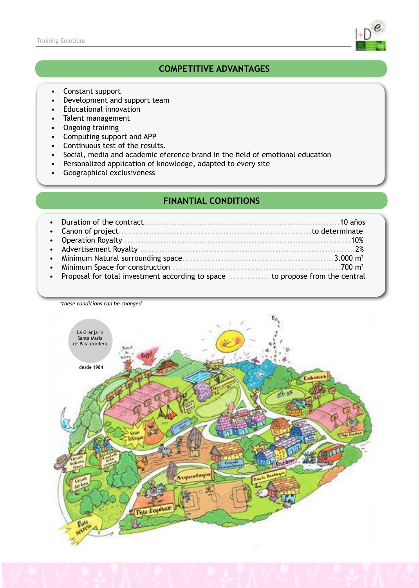

## **COMPETITIVE ADVANTAGES**

- Constant support
- Development and support team
- Educational innovation
- Talent management
- Ongoing training
- Computing support and APP
- Continuous test of the results.
- Social, media and academic eference brand in the field of emotional education
- Personalized application of knowledge, adapted to every site
- Geographical exclusiveness

#### **FINANTIAL CONDITIONS**

| • Proposal for total investment according to space  to propose from the central |
|---------------------------------------------------------------------------------|
|                                                                                 |